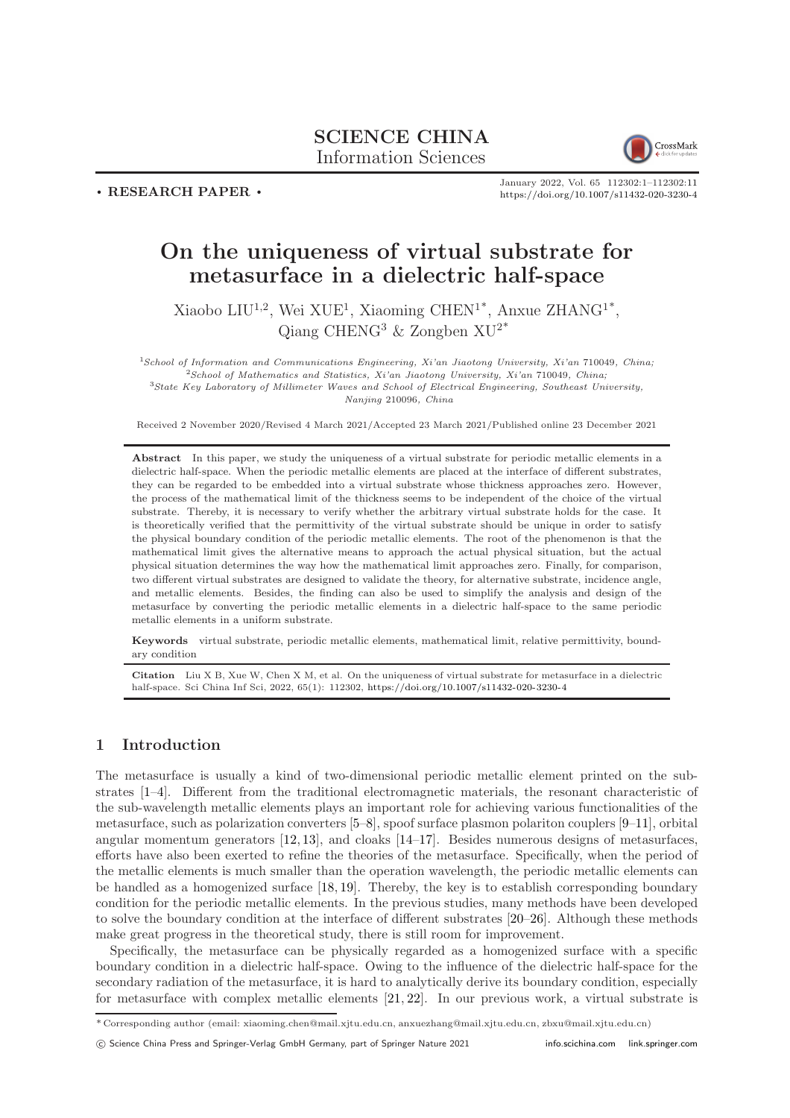## SCIENCE CHINA Information Sciences



 $\cdot$  RESEARCH PAPER  $\cdot$ 

January 2022, Vol. 65 112302:1–112302[:11](#page-10-0) <https://doi.org/10.1007/s11432-020-3230-4>

# On the uniqueness of virtual substrate for metasurface in a dielectric half-space

Xiaobo LIU<sup>1,2</sup>, Wei XUE<sup>1</sup>, Xiaoming CHEN<sup>1\*</sup>, Anxue ZHANG<sup>1\*</sup>, Qiang CHENG<sup>3</sup> & Zongben  $XU^{2*}$ 

School of Information and Communications Engineering, Xi'an Jiaotong University, Xi'an 710049, China; School of Mathematics and Statistics, Xi'an Jiaotong University, Xi'an 710049, China; State Key Laboratory of Millimeter Waves and School of Electrical Engineering, Southeast University, Nanjing 210096, China

Received 2 November 2020/Revised 4 March 2021/Accepted 23 March 2021/Published online 23 December 2021

Abstract In this paper, we study the uniqueness of a virtual substrate for periodic metallic elements in a dielectric half-space. When the periodic metallic elements are placed at the interface of different substrates, they can be regarded to be embedded into a virtual substrate whose thickness approaches zero. However, the process of the mathematical limit of the thickness seems to be independent of the choice of the virtual substrate. Thereby, it is necessary to verify whether the arbitrary virtual substrate holds for the case. It is theoretically verified that the permittivity of the virtual substrate should be unique in order to satisfy the physical boundary condition of the periodic metallic elements. The root of the phenomenon is that the mathematical limit gives the alternative means to approach the actual physical situation, but the actual physical situation determines the way how the mathematical limit approaches zero. Finally, for comparison, two different virtual substrates are designed to validate the theory, for alternative substrate, incidence angle, and metallic elements. Besides, the finding can also be used to simplify the analysis and design of the metasurface by converting the periodic metallic elements in a dielectric half-space to the same periodic metallic elements in a uniform substrate.

Keywords virtual substrate, periodic metallic elements, mathematical limit, relative permittivity, boundary condition

Citation Liu X B, Xue W, Chen X M, et al. On the uniqueness of virtual substrate for metasurface in a dielectric half-space. Sci China Inf Sci, 2022, 65(1): 112302, <https://doi.org/10.1007/s11432-020-3230-4>

## 1 Introduction

The metasurface is usually a kind of two-dimensional periodic metallic element printed on the substrates [\[1](#page-10-1)[–4\]](#page-10-2). Different from the traditional electromagnetic materials, the resonant characteristic of the sub-wavelength metallic elements plays an important role for achieving various functionalities of the metasurface, such as polarization converters [\[5–](#page-10-3)[8\]](#page-10-4), spoof surface plasmon polariton couplers [\[9–](#page-10-5)[11\]](#page-10-6), orbital angular momentum generators [\[12,](#page-10-7) [13\]](#page-10-8), and cloaks [\[14–](#page-10-9)[17\]](#page-10-10). Besides numerous designs of metasurfaces, efforts have also been exerted to refine the theories of the metasurface. Specifically, when the period of the metallic elements is much smaller than the operation wavelength, the periodic metallic elements can be handled as a homogenized surface [\[18,](#page-10-11) [19\]](#page-10-12). Thereby, the key is to establish corresponding boundary condition for the periodic metallic elements. In the previous studies, many methods have been developed to solve the boundary condition at the interface of different substrates [\[20](#page-10-13)[–26\]](#page-10-14). Although these methods make great progress in the theoretical study, there is still room for improvement.

Specifically, the metasurface can be physically regarded as a homogenized surface with a specific boundary condition in a dielectric half-space. Owing to the influence of the dielectric half-space for the secondary radiation of the metasurface, it is hard to analytically derive its boundary condition, especially for metasurface with complex metallic elements [\[21,](#page-10-15) [22\]](#page-10-16). In our previous work, a virtual substrate is

<sup>\*</sup> Corresponding author (email: xiaoming.chen@mail.xjtu.edu.cn, anxuezhang@mail.xjtu.edu.cn, zbxu@mail.xjtu.edu.cn)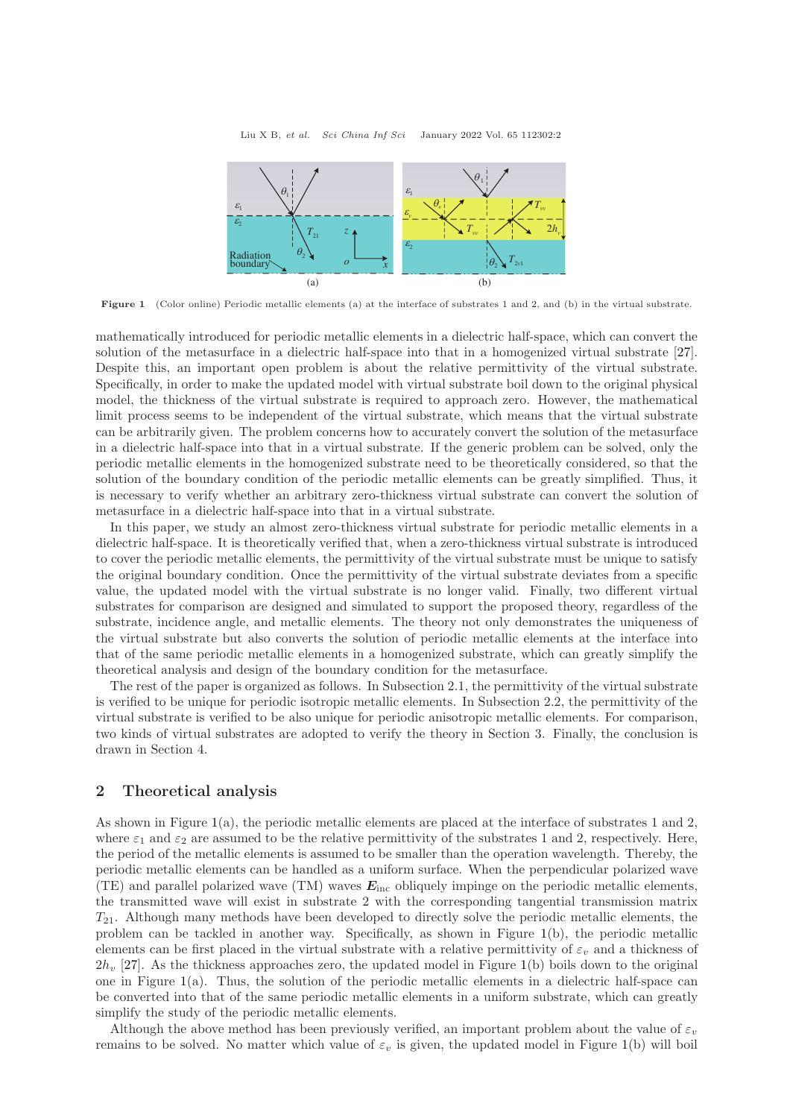<span id="page-1-0"></span>

Figure 1 (Color online) Periodic metallic elements (a) at the interface of substrates 1 and 2, and (b) in the virtual substrate.

mathematically introduced for periodic metallic elements in a dielectric half-space, which can convert the solution of the metasurface in a dielectric half-space into that in a homogenized virtual substrate [\[27\]](#page-10-17). Despite this, an important open problem is about the relative permittivity of the virtual substrate. Specifically, in order to make the updated model with virtual substrate boil down to the original physical model, the thickness of the virtual substrate is required to approach zero. However, the mathematical limit process seems to be independent of the virtual substrate, which means that the virtual substrate can be arbitrarily given. The problem concerns how to accurately convert the solution of the metasurface in a dielectric half-space into that in a virtual substrate. If the generic problem can be solved, only the periodic metallic elements in the homogenized substrate need to be theoretically considered, so that the solution of the boundary condition of the periodic metallic elements can be greatly simplified. Thus, it is necessary to verify whether an arbitrary zero-thickness virtual substrate can convert the solution of metasurface in a dielectric half-space into that in a virtual substrate.

In this paper, we study an almost zero-thickness virtual substrate for periodic metallic elements in a dielectric half-space. It is theoretically verified that, when a zero-thickness virtual substrate is introduced to cover the periodic metallic elements, the permittivity of the virtual substrate must be unique to satisfy the original boundary condition. Once the permittivity of the virtual substrate deviates from a specific value, the updated model with the virtual substrate is no longer valid. Finally, two different virtual substrates for comparison are designed and simulated to support the proposed theory, regardless of the substrate, incidence angle, and metallic elements. The theory not only demonstrates the uniqueness of the virtual substrate but also converts the solution of periodic metallic elements at the interface into that of the same periodic metallic elements in a homogenized substrate, which can greatly simplify the theoretical analysis and design of the boundary condition for the metasurface.

The rest of the paper is organized as follows. In Subsection 2.1, the permittivity of the virtual substrate is verified to be unique for periodic isotropic metallic elements. In Subsection 2.2, the permittivity of the virtual substrate is verified to be also unique for periodic anisotropic metallic elements. For comparison, two kinds of virtual substrates are adopted to verify the theory in Section 3. Finally, the conclusion is drawn in Section 4.

### 2 Theoretical analysis

As shown in Figure [1\(](#page-1-0)a), the periodic metallic elements are placed at the interface of substrates 1 and 2, where  $\varepsilon_1$  and  $\varepsilon_2$  are assumed to be the relative permittivity of the substrates 1 and 2, respectively. Here, the period of the metallic elements is assumed to be smaller than the operation wavelength. Thereby, the periodic metallic elements can be handled as a uniform surface. When the perpendicular polarized wave (TE) and parallel polarized wave (TM) waves  $E_{\text{inc}}$  obliquely impinge on the periodic metallic elements, the transmitted wave will exist in substrate 2 with the corresponding tangential transmission matrix  $T_{21}$ . Although many methods have been developed to directly solve the periodic metallic elements, the problem can be tackled in another way. Specifically, as shown in Figure [1\(](#page-1-0)b), the periodic metallic elements can be first placed in the virtual substrate with a relative permittivity of  $\varepsilon_v$  and a thickness of  $2h_y$  [\[27\]](#page-10-17). As the thickness approaches zero, the updated model in Figure [1\(](#page-1-0)b) boils down to the original one in Figure [1\(](#page-1-0)a). Thus, the solution of the periodic metallic elements in a dielectric half-space can be converted into that of the same periodic metallic elements in a uniform substrate, which can greatly simplify the study of the periodic metallic elements.

Although the above method has been previously verified, an important problem about the value of  $\varepsilon_v$ remains to be solved. No matter which value of  $\varepsilon_v$  is given, the updated model in Figure [1\(](#page-1-0)b) will boil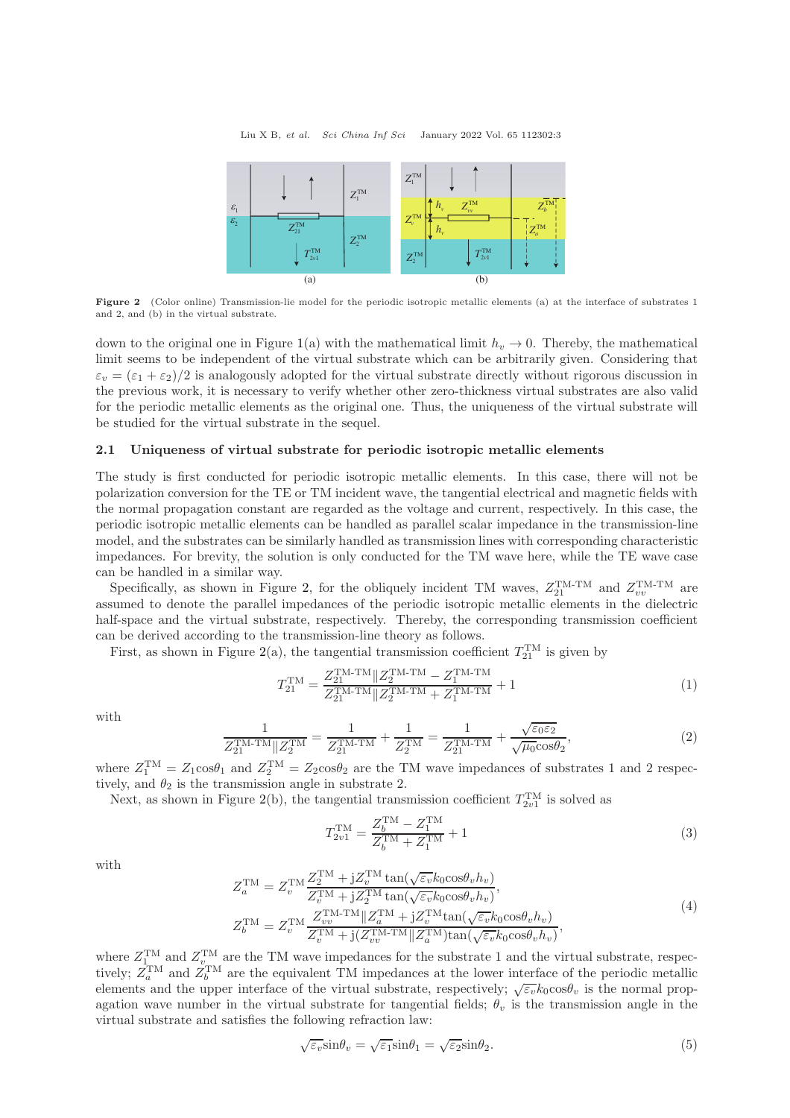<span id="page-2-0"></span>

Figure 2 (Color online) Transmission-lie model for the periodic isotropic metallic elements (a) at the interface of substrates 1 and 2, and (b) in the virtual substrate.

down to the original one in Figure [1\(](#page-1-0)a) with the mathematical limit  $h<sub>v</sub> \to 0$ . Thereby, the mathematical limit seems to be independent of the virtual substrate which can be arbitrarily given. Considering that  $\varepsilon_v = (\varepsilon_1 + \varepsilon_2)/2$  is analogously adopted for the virtual substrate directly without rigorous discussion in the previous work, it is necessary to verify whether other zero-thickness virtual substrates are also valid for the periodic metallic elements as the original one. Thus, the uniqueness of the virtual substrate will be studied for the virtual substrate in the sequel.

#### 2.1 Uniqueness of virtual substrate for periodic isotropic metallic elements

The study is first conducted for periodic isotropic metallic elements. In this case, there will not be polarization conversion for the TE or TM incident wave, the tangential electrical and magnetic fields with the normal propagation constant are regarded as the voltage and current, respectively. In this case, the periodic isotropic metallic elements can be handled as parallel scalar impedance in the transmission-line model, and the substrates can be similarly handled as transmission lines with corresponding characteristic impedances. For brevity, the solution is only conducted for the TM wave here, while the TE wave case can be handled in a similar way.

Specifically, as shown in Figure [2,](#page-2-0) for the obliquely incident TM waves,  $Z_{21}^{\text{TM-TM}}$  and  $Z_{vv}^{\text{TM-TM}}$  are assumed to denote the parallel impedances of the periodic isotropic metallic elements in the dielectric half-space and the virtual substrate, respectively. Thereby, the corresponding transmission coefficient can be derived according to the transmission-line theory as follows.

First, as shown in Figure [2\(](#page-2-0)a), the tangential transmission coefficient  $T_{21}^{TM}$  is given by

$$
T_{21}^{\text{TM}} = \frac{Z_{21}^{\text{TM-TM}} \| Z_2^{\text{TM-TM}} - Z_1^{\text{TM-TM}}}{Z_{21}^{\text{TM-TM}} \| Z_2^{\text{TM-TM}} + Z_1^{\text{TM-TM}} + 1}
$$
(1)

with

$$
\frac{1}{Z_{21}^{\text{TM-TM}} \| Z_2^{\text{TM}} } = \frac{1}{Z_{21}^{\text{TM-TM}}} + \frac{1}{Z_2^{\text{TM}}} = \frac{1}{Z_{21}^{\text{TM-TM}}} + \frac{\sqrt{\varepsilon_0 \varepsilon_2}}{\sqrt{\mu_0 \cos \theta_2}},
$$
(2)

where  $Z_1^{\text{TM}} = Z_1 \cos \theta_1$  and  $Z_2^{\text{TM}} = Z_2 \cos \theta_2$  are the TM wave impedances of substrates 1 and 2 respectively, and  $\theta_2$  is the transmission angle in substrate 2.

Next, as shown in Figure [2\(](#page-2-0)b), the tangential transmission coefficient  $T_{2v1}^{TM}$  is solved as

$$
T_{2v1}^{\text{TM}} = \frac{Z_b^{\text{TM}} - Z_1^{\text{TM}}}{Z_b^{\text{TM}} + Z_1^{\text{TM}}} + 1
$$
\n(3)

with

$$
Z_a^{\text{TM}} = Z_v^{\text{TM}} \frac{Z_2^{\text{TM}} + jZ_v^{\text{TM}} \tan(\sqrt{\varepsilon_v} k_0 \cos \theta_v h_v)}{Z_v^{\text{TM}} + jZ_z^{\text{TM}} \tan(\sqrt{\varepsilon_v} k_0 \cos \theta_v h_v)},
$$
  
\n
$$
Z_b^{\text{TM}} = Z_v^{\text{TM}} \frac{Z_{vv}^{\text{TM-TM}} || Z_a^{\text{TM}} + jZ_v^{\text{TM}} \tan(\sqrt{\varepsilon_v} k_0 \cos \theta_v h_v)}{Z_v^{\text{TM}} + j(Z_{vv}^{\text{TM-TM}} || Z_a^{\text{TM}}) \tan(\sqrt{\varepsilon_v} k_0 \cos \theta_v h_v)},
$$
\n(4)

where  $Z_{1}^{TM}$  and  $Z_{v}^{TM}$  are the TM wave impedances for the substrate 1 and the virtual substrate, respectively;  $Z_a^{\text{TM}}$  and  $Z_b^{\text{TM}}$  are the equivalent TM impedances at the lower interface of the periodic metallic elements and the upper interface of the virtual substrate, respectively;  $\sqrt{\varepsilon_v} k_0 \cos \theta_v$  is the normal propagation wave number in the virtual substrate for tangential fields;  $\theta_v$  is the transmission angle in the virtual substrate and satisfies the following refraction law:

$$
\sqrt{\varepsilon_v} \sin \theta_v = \sqrt{\varepsilon_1} \sin \theta_1 = \sqrt{\varepsilon_2} \sin \theta_2. \tag{5}
$$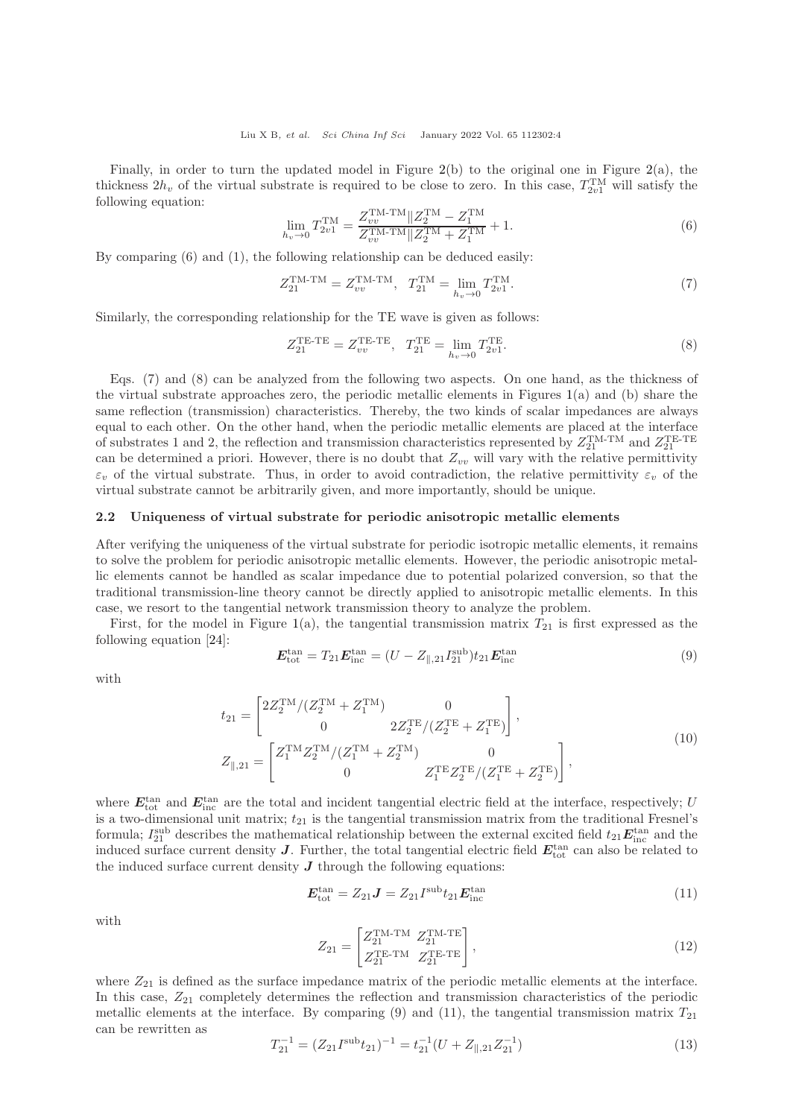Finally, in order to turn the updated model in Figure  $2(b)$  $2(b)$  to the original one in Figure  $2(a)$ , the thickness  $2h_v$  of the virtual substrate is required to be close to zero. In this case,  $T_{2v1}^{\text{TM}}$  will satisfy the following equation:

$$
\lim_{h_v \to 0} T_{2v1}^{\text{TM}} = \frac{Z_{vv}^{\text{TM-TM}} \| Z_2^{\text{TM}} - Z_1^{\text{TM}}}{Z_{vv}^{\text{TM-TM}} \| Z_2^{\text{TM}} + Z_1^{\text{TM}}} + 1.
$$
\n(6)

By comparing (6) and (1), the following relationship can be deduced easily:

$$
Z_{21}^{\text{TM-TM}} = Z_{vv}^{\text{TM-TM}}, \quad T_{21}^{\text{TM}} = \lim_{h_v \to 0} T_{2v1}^{\text{TM}}.
$$
 (7)

Similarly, the corresponding relationship for the TE wave is given as follows:

$$
Z_{21}^{\text{TE-TE}} = Z_{vv}^{\text{TE-TE}}, \quad T_{21}^{\text{TE}} = \lim_{h_v \to 0} T_{2v1}^{\text{TE}}.
$$
 (8)

Eqs. (7) and (8) can be analyzed from the following two aspects. On one hand, as the thickness of the virtual substrate approaches zero, the periodic metallic elements in Figures [1\(](#page-1-0)a) and (b) share the same reflection (transmission) characteristics. Thereby, the two kinds of scalar impedances are always equal to each other. On the other hand, when the periodic metallic elements are placed at the interface of substrates 1 and 2, the reflection and transmission characteristics represented by  $Z_{21}^{TM-TM}$  and  $Z_{21}^{TE-TE}$ can be determined a priori. However, there is no doubt that  $Z_{vv}$  will vary with the relative permittivity  $\varepsilon_v$  of the virtual substrate. Thus, in order to avoid contradiction, the relative permittivity  $\varepsilon_v$  of the virtual substrate cannot be arbitrarily given, and more importantly, should be unique.

#### 2.2 Uniqueness of virtual substrate for periodic anisotropic metallic elements

After verifying the uniqueness of the virtual substrate for periodic isotropic metallic elements, it remains to solve the problem for periodic anisotropic metallic elements. However, the periodic anisotropic metallic elements cannot be handled as scalar impedance due to potential polarized conversion, so that the traditional transmission-line theory cannot be directly applied to anisotropic metallic elements. In this case, we resort to the tangential network transmission theory to analyze the problem.

First, for the model in Figure [1\(](#page-1-0)a), the tangential transmission matrix  $T_{21}$  is first expressed as the following equation [\[24\]](#page-10-18):

$$
E_{\text{tot}}^{\text{tan}} = T_{21} E_{\text{inc}}^{\text{tan}} = (U - Z_{\parallel,21} I_{21}^{\text{sub}}) t_{21} E_{\text{inc}}^{\text{tan}} \tag{9}
$$

with

$$
t_{21} = \begin{bmatrix} 2Z_2^{\text{TM}}/(Z_2^{\text{TM}} + Z_1^{\text{TM}}) & 0\\ 0 & 2Z_2^{\text{TE}}/(Z_2^{\text{TE}} + Z_1^{\text{TE}}) \end{bmatrix},
$$
  
\n
$$
Z_{\parallel,21} = \begin{bmatrix} Z_1^{\text{TM}} Z_2^{\text{TM}}/(Z_1^{\text{TM}} + Z_2^{\text{TM}}) & 0\\ 0 & Z_1^{\text{TE}} Z_2^{\text{TE}}/(Z_1^{\text{TE}} + Z_2^{\text{TE}}) \end{bmatrix},
$$
\n(10)

where  $E_{\text{tot}}^{\text{tan}}$  and  $E_{\text{inc}}^{\text{tan}}$  are the total and incident tangential electric field at the interface, respectively; U is a two-dimensional unit matrix;  $t_{21}$  is the tangential transmission matrix from the traditional Fresnel's formula;  $I_{21}^{\text{sub}}$  describes the mathematical relationship between the external excited field  $t_{21}E_{\text{inc}}^{\text{tan}}$  and the induced surface current density  $J$ . Further, the total tangential electric field  $E_{\text{tot}}^{\text{tan}}$  can also be related to the induced surface current density  $J$  through the following equations:

$$
E_{\text{tot}}^{\text{tan}} = Z_{21}J = Z_{21}I^{\text{sub}}t_{21}E_{\text{inc}}^{\text{tan}} \tag{11}
$$

with

$$
Z_{21} = \begin{bmatrix} Z_{21}^{\text{TM-TM}} & Z_{21}^{\text{TM-TE}} \\ Z_{21}^{\text{TE-TM}} & Z_{21}^{\text{TE-TE}} \end{bmatrix},
$$
\n(12)

where  $Z_{21}$  is defined as the surface impedance matrix of the periodic metallic elements at the interface. In this case,  $Z_{21}$  completely determines the reflection and transmission characteristics of the periodic metallic elements at the interface. By comparing (9) and (11), the tangential transmission matrix  $T_{21}$ can be rewritten as

$$
T_{21}^{-1} = (Z_{21}I^{\text{sub}}t_{21})^{-1} = t_{21}^{-1}(U + Z_{\parallel, 21}Z_{21}^{-1})
$$
\n(13)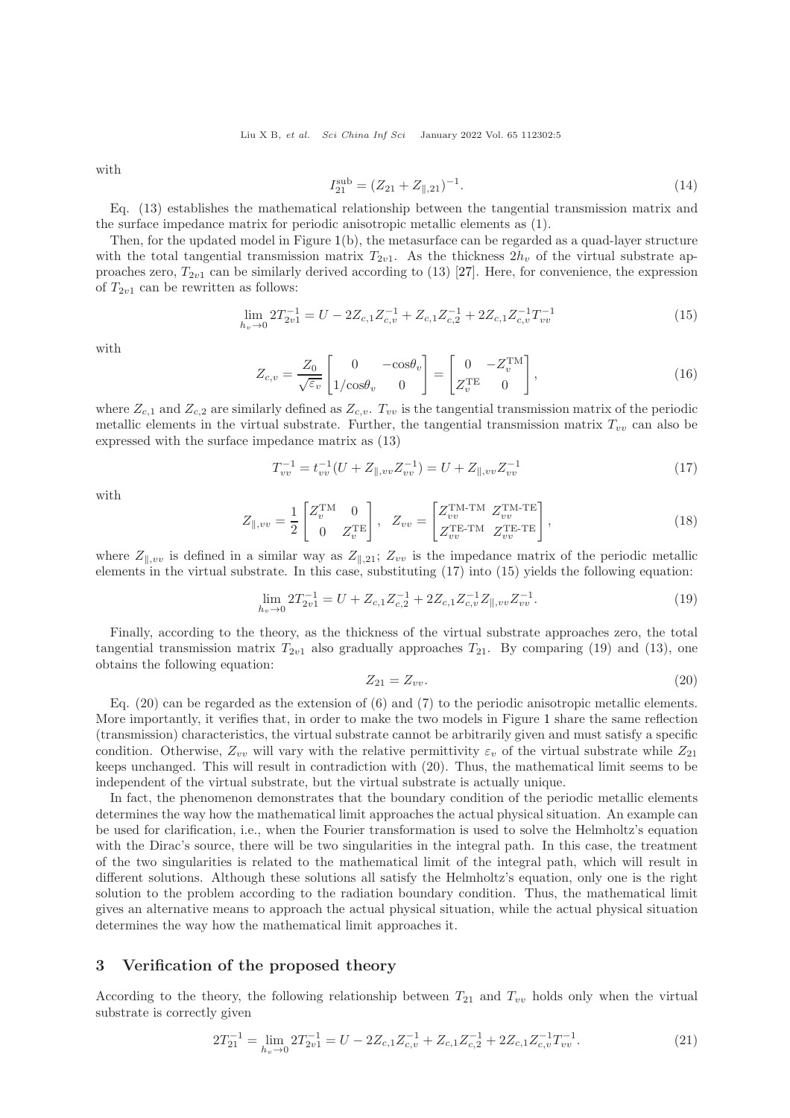with

$$
I_{21}^{\text{sub}} = (Z_{21} + Z_{\parallel, 21})^{-1}.
$$
\n(14)

Eq. (13) establishes the mathematical relationship between the tangential transmission matrix and the surface impedance matrix for periodic anisotropic metallic elements as (1).

Then, for the updated model in Figure [1\(](#page-1-0)b), the metasurface can be regarded as a quad-layer structure with the total tangential transmission matrix  $T_{2v1}$ . As the thickness  $2h_v$  of the virtual substrate approaches zero,  $T_{2v1}$  can be similarly derived according to (13) [\[27\]](#page-10-17). Here, for convenience, the expression of  $T_{2v1}$  can be rewritten as follows:

$$
\lim_{h_v \to 0} 2T_{2v1}^{-1} = U - 2Z_{c,1}Z_{c,v}^{-1} + Z_{c,1}Z_{c,2}^{-1} + 2Z_{c,1}Z_{c,v}^{-1}T_{vv}^{-1}
$$
\n(15)

with

$$
Z_{c,v} = \frac{Z_0}{\sqrt{\varepsilon_v}} \begin{bmatrix} 0 & -\cos\theta_v \\ 1/\cos\theta_v & 0 \end{bmatrix} = \begin{bmatrix} 0 & -Z_v^{\text{TM}} \\ Z_v^{\text{TE}} & 0 \end{bmatrix},\tag{16}
$$

where  $Z_{c,1}$  and  $Z_{c,2}$  are similarly defined as  $Z_{c,v}$ .  $T_{vv}$  is the tangential transmission matrix of the periodic metallic elements in the virtual substrate. Further, the tangential transmission matrix  $T_{vv}$  can also be expressed with the surface impedance matrix as (13)

$$
T_{vv}^{-1} = t_{vv}^{-1}(U + Z_{\parallel, vv} Z_{vv}^{-1}) = U + Z_{\parallel, vv} Z_{vv}^{-1}
$$
\n(17)

with

$$
Z_{\parallel, vv} = \frac{1}{2} \begin{bmatrix} Z_v^{\text{TM}} & 0\\ 0 & Z_v^{\text{TE}} \end{bmatrix}, \quad Z_{vv} = \begin{bmatrix} Z_{vv}^{\text{TM-TM}} & Z_{vv}^{\text{TM-TE}}\\ Z_{vv}^{\text{TE-TM}} & Z_{vv}^{\text{TE-TE}} \end{bmatrix},\tag{18}
$$

where  $Z_{\parallel,vv}$  is defined in a similar way as  $Z_{\parallel,21}$ ;  $Z_{vv}$  is the impedance matrix of the periodic metallic elements in the virtual substrate. In this case, substituting (17) into (15) yields the following equation:

$$
\lim_{h_v \to 0} 2T_{2v1}^{-1} = U + Z_{c,1} Z_{c,2}^{-1} + 2Z_{c,1} Z_{c,v}^{-1} Z_{\parallel, vv} Z_{vv}^{-1}.
$$
\n(19)

Finally, according to the theory, as the thickness of the virtual substrate approaches zero, the total tangential transmission matrix  $T_{2v1}$  also gradually approaches  $T_{21}$ . By comparing (19) and (13), one obtains the following equation:

$$
Z_{21} = Z_{vv}.\tag{20}
$$

Eq. (20) can be regarded as the extension of (6) and (7) to the periodic anisotropic metallic elements. More importantly, it verifies that, in order to make the two models in Figure [1](#page-1-0) share the same reflection (transmission) characteristics, the virtual substrate cannot be arbitrarily given and must satisfy a specific condition. Otherwise,  $Z_{vv}$  will vary with the relative permittivity  $\varepsilon_v$  of the virtual substrate while  $Z_{21}$ keeps unchanged. This will result in contradiction with (20). Thus, the mathematical limit seems to be independent of the virtual substrate, but the virtual substrate is actually unique.

In fact, the phenomenon demonstrates that the boundary condition of the periodic metallic elements determines the way how the mathematical limit approaches the actual physical situation. An example can be used for clarification, i.e., when the Fourier transformation is used to solve the Helmholtz's equation with the Dirac's source, there will be two singularities in the integral path. In this case, the treatment of the two singularities is related to the mathematical limit of the integral path, which will result in different solutions. Although these solutions all satisfy the Helmholtz's equation, only one is the right solution to the problem according to the radiation boundary condition. Thus, the mathematical limit gives an alternative means to approach the actual physical situation, while the actual physical situation determines the way how the mathematical limit approaches it.

## 3 Verification of the proposed theory

According to the theory, the following relationship between  $T_{21}$  and  $T_{vv}$  holds only when the virtual substrate is correctly given

$$
2T_{21}^{-1} = \lim_{h_v \to 0} 2T_{2v1}^{-1} = U - 2Z_{c,1}Z_{c,v}^{-1} + Z_{c,1}Z_{c,2}^{-1} + 2Z_{c,1}Z_{c,v}^{-1}T_{vv}^{-1}.
$$
\n(21)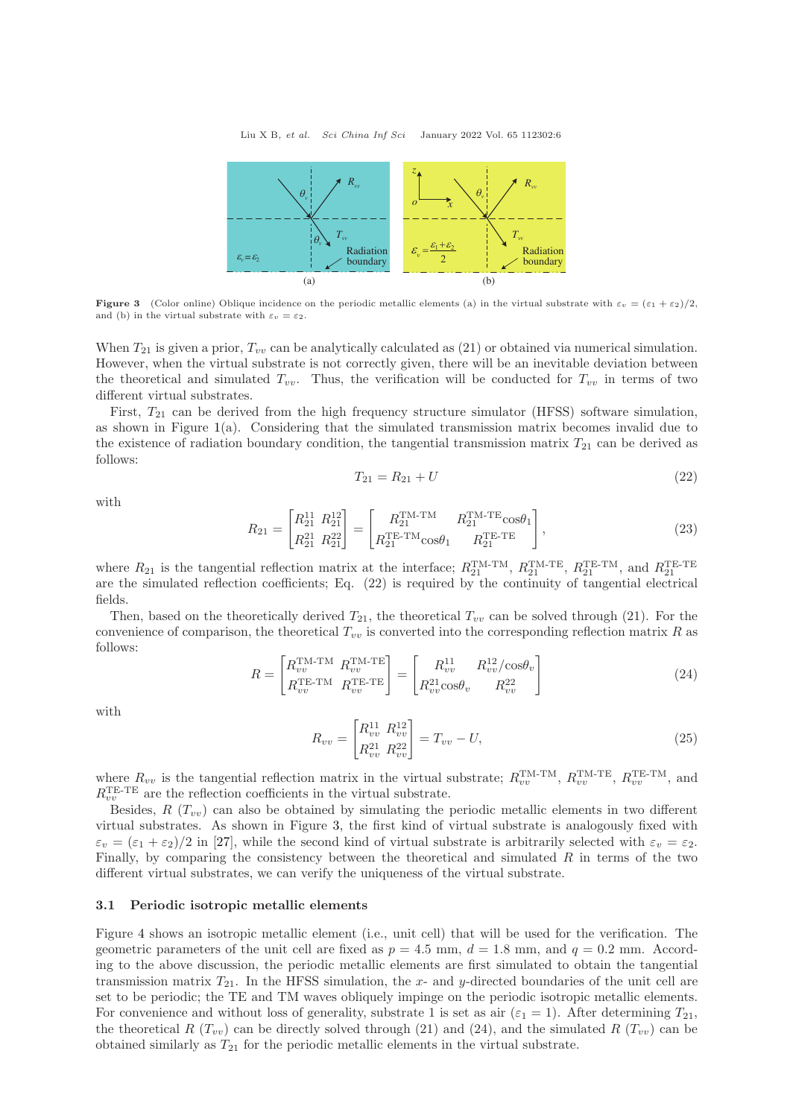<span id="page-5-0"></span>

**Figure 3** (Color online) Oblique incidence on the periodic metallic elements (a) in the virtual substrate with  $\varepsilon_v = (\varepsilon_1 + \varepsilon_2)/2$ , and (b) in the virtual substrate with  $\varepsilon_v = \varepsilon_2$ .

When  $T_{21}$  is given a prior,  $T_{vv}$  can be analytically calculated as (21) or obtained via numerical simulation. However, when the virtual substrate is not correctly given, there will be an inevitable deviation between the theoretical and simulated  $T_{vv}$ . Thus, the verification will be conducted for  $T_{vv}$  in terms of two different virtual substrates.

First,  $T_{21}$  can be derived from the high frequency structure simulator (HFSS) software simulation, as shown in Figure  $1(a)$  $1(a)$ . Considering that the simulated transmission matrix becomes invalid due to the existence of radiation boundary condition, the tangential transmission matrix  $T_{21}$  can be derived as follows:

$$
T_{21} = R_{21} + U \tag{22}
$$

with

$$
R_{21} = \begin{bmatrix} R_{21}^{11} & R_{21}^{12} \\ R_{21}^{21} & R_{21}^{22} \end{bmatrix} = \begin{bmatrix} R_{21}^{TM-TM} & R_{21}^{TM-TE}\cos\theta_1 \\ R_{21}^{TE-TM}\cos\theta_1 & R_{21}^{TE-TE} \end{bmatrix},
$$
(23)

where  $R_{21}$  is the tangential reflection matrix at the interface;  $R_{21}^{TM-TM}$ ,  $R_{21}^{TM-TE}$ ,  $R_{21}^{TE-TM}$ , and  $R_{21}^{TE-TE}$ are the simulated reflection coefficients; Eq. (22) is required by the continuity of tangential electrical fields.

Then, based on the theoretically derived  $T_{21}$ , the theoretical  $T_{vv}$  can be solved through (21). For the convenience of comparison, the theoretical  $T_{vv}$  is converted into the corresponding reflection matrix R as follows:

$$
R = \begin{bmatrix} R_{vv}^{\text{TM-TM}} & R_{vv}^{\text{TM-TE}} \\ R_{vv}^{\text{TE-TM}} & R_{vv}^{\text{TE-TE}} \end{bmatrix} = \begin{bmatrix} R_{vv}^{11} & R_{vv}^{12}/\cos\theta_v \\ R_{vv}^{21}\cos\theta_v & R_{vv}^{22} \end{bmatrix}
$$
(24)

with

$$
R_{vv} = \begin{bmatrix} R_{vv}^{11} & R_{vv}^{12} \\ R_{vv}^{21} & R_{vv}^{22} \end{bmatrix} = T_{vv} - U,
$$
\n(25)

where  $R_{vv}$  is the tangential reflection matrix in the virtual substrate;  $R_{vv}^{\text{TM-TM}}$ ,  $R_{vv}^{\text{TM-TE}}$ ,  $R_{vv}^{\text{TE-TM}}$ , and  $R_{vv}^{\text{TE-TE}}$  are the reflection coefficients in the virtual substrate.

Besides,  $R(T_{vv})$  can also be obtained by simulating the periodic metallic elements in two different virtual substrates. As shown in Figure [3,](#page-5-0) the first kind of virtual substrate is analogously fixed with  $\varepsilon_v = (\varepsilon_1 + \varepsilon_2)/2$  in [\[27\]](#page-10-17), while the second kind of virtual substrate is arbitrarily selected with  $\varepsilon_v = \varepsilon_2$ . Finally, by comparing the consistency between the theoretical and simulated  $R$  in terms of the two different virtual substrates, we can verify the uniqueness of the virtual substrate.

#### 3.1 Periodic isotropic metallic elements

Figure [4](#page-6-0) shows an isotropic metallic element (i.e., unit cell) that will be used for the verification. The geometric parameters of the unit cell are fixed as  $p = 4.5$  mm,  $d = 1.8$  mm, and  $q = 0.2$  mm. According to the above discussion, the periodic metallic elements are first simulated to obtain the tangential transmission matrix  $T_{21}$ . In the HFSS simulation, the x- and y-directed boundaries of the unit cell are set to be periodic; the TE and TM waves obliquely impinge on the periodic isotropic metallic elements. For convenience and without loss of generality, substrate 1 is set as air ( $\varepsilon_1 = 1$ ). After determining  $T_{21}$ , the theoretical R  $(T_{vv})$  can be directly solved through (21) and (24), and the simulated R  $(T_{vv})$  can be obtained similarly as  $T_{21}$  for the periodic metallic elements in the virtual substrate.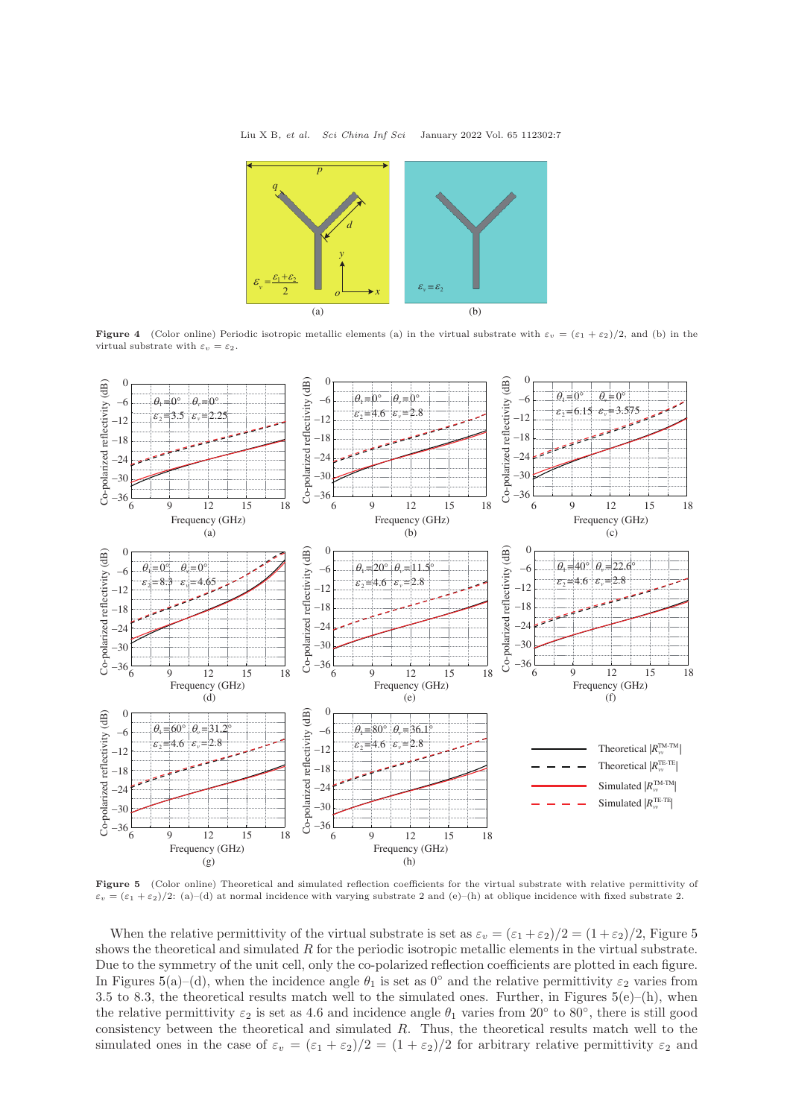<span id="page-6-0"></span>

**Figure 4** (Color online) Periodic isotropic metallic elements (a) in the virtual substrate with  $\varepsilon_v = (\varepsilon_1 + \varepsilon_2)/2$ , and (b) in the virtual substrate with  $\varepsilon_v = \varepsilon_2$ .

<span id="page-6-1"></span>

Figure 5 (Color online) Theoretical and simulated reflection coefficients for the virtual substrate with relative permittivity of  $\varepsilon_v = (\varepsilon_1 + \varepsilon_2)/2$ : (a)–(d) at normal incidence with varying substrate 2 and (e)–(h) at oblique incidence with fixed substrate 2.

When the relative permittivity of the virtual substrate is set as  $\varepsilon_v = (\varepsilon_1 + \varepsilon_2)/2 = (1 + \varepsilon_2)/2$ , Figure [5](#page-6-1) shows the theoretical and simulated  $R$  for the periodic isotropic metallic elements in the virtual substrate. Due to the symmetry of the unit cell, only the co-polarized reflection coefficients are plotted in each figure. In Figures [5\(](#page-6-1)a)–(d), when the incidence angle  $\theta_1$  is set as 0° and the relative permittivity  $\varepsilon_2$  varies from 3.5 to 8.3, the theoretical results match well to the simulated ones. Further, in Figures  $5(e)$  $5(e)$ –(h), when the relative permittivity  $\varepsilon_2$  is set as 4.6 and incidence angle  $\theta_1$  varies from 20° to 80°, there is still good consistency between the theoretical and simulated R. Thus, the theoretical results match well to the simulated ones in the case of  $\varepsilon_v = (\varepsilon_1 + \varepsilon_2)/2 = (1 + \varepsilon_2)/2$  for arbitrary relative permittivity  $\varepsilon_2$  and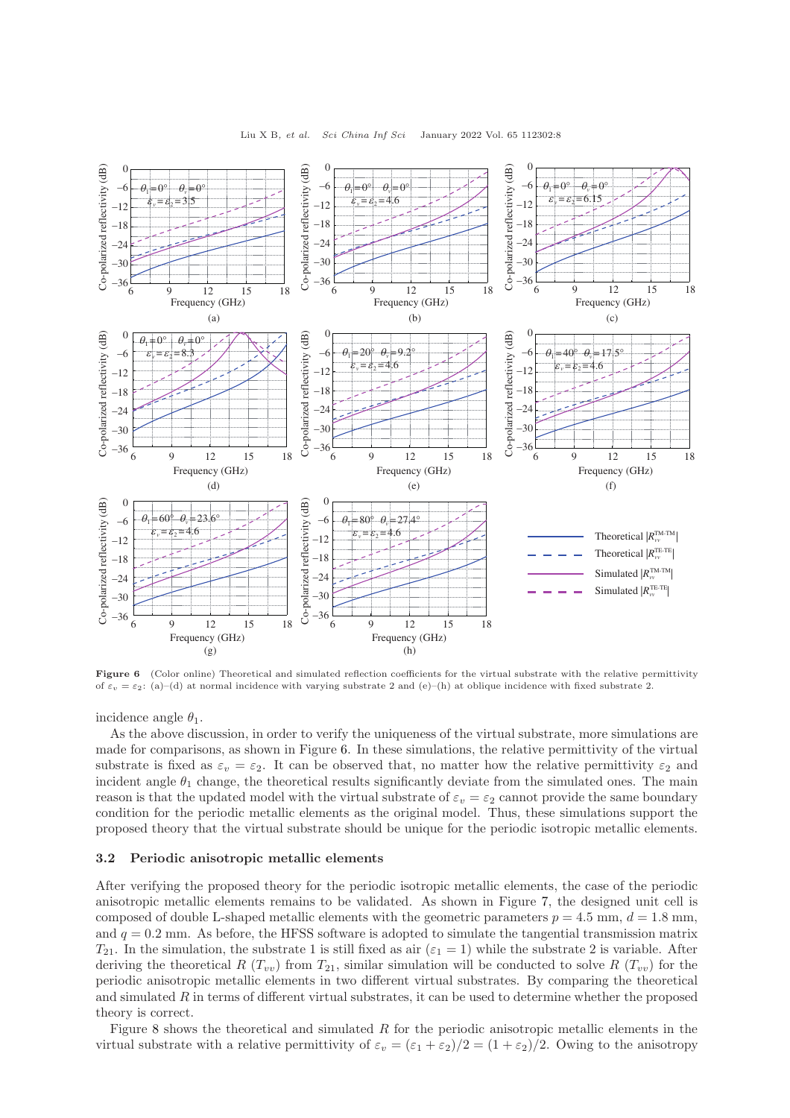<span id="page-7-0"></span>

Figure 6 (Color online) Theoretical and simulated reflection coefficients for the virtual substrate with the relative permittivity of  $\varepsilon_v = \varepsilon_2$ : (a)–(d) at normal incidence with varying substrate 2 and (e)–(h) at oblique incidence with fixed substrate 2.

incidence angle  $\theta_1$ .

As the above discussion, in order to verify the uniqueness of the virtual substrate, more simulations are made for comparisons, as shown in Figure [6.](#page-7-0) In these simulations, the relative permittivity of the virtual substrate is fixed as  $\varepsilon_v = \varepsilon_2$ . It can be observed that, no matter how the relative permittivity  $\varepsilon_2$  and incident angle  $\theta_1$  change, the theoretical results significantly deviate from the simulated ones. The main reason is that the updated model with the virtual substrate of  $\varepsilon_v = \varepsilon_2$  cannot provide the same boundary condition for the periodic metallic elements as the original model. Thus, these simulations support the proposed theory that the virtual substrate should be unique for the periodic isotropic metallic elements.

#### 3.2 Periodic anisotropic metallic elements

After verifying the proposed theory for the periodic isotropic metallic elements, the case of the periodic anisotropic metallic elements remains to be validated. As shown in Figure [7,](#page-8-0) the designed unit cell is composed of double L-shaped metallic elements with the geometric parameters  $p = 4.5$  mm,  $d = 1.8$  mm, and  $q = 0.2$  mm. As before, the HFSS software is adopted to simulate the tangential transmission matrix  $T_{21}$ . In the simulation, the substrate 1 is still fixed as air ( $\varepsilon_1 = 1$ ) while the substrate 2 is variable. After deriving the theoretical R  $(T_{vv})$  from  $T_{21}$ , similar simulation will be conducted to solve R  $(T_{vv})$  for the periodic anisotropic metallic elements in two different virtual substrates. By comparing the theoretical and simulated  $R$  in terms of different virtual substrates, it can be used to determine whether the proposed theory is correct.

Figure [8](#page-8-1) shows the theoretical and simulated R for the periodic anisotropic metallic elements in the virtual substrate with a relative permittivity of  $\varepsilon_v = (\varepsilon_1 + \varepsilon_2)/2 = (1 + \varepsilon_2)/2$ . Owing to the anisotropy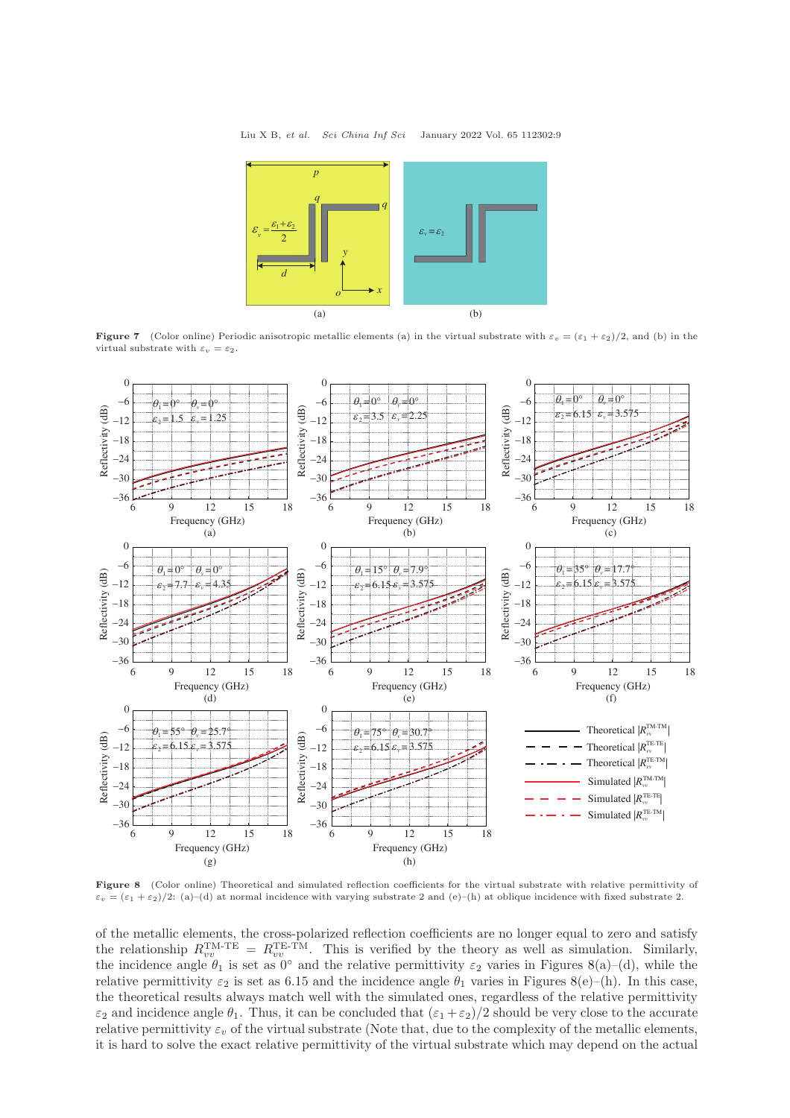<span id="page-8-0"></span>

**Figure 7** (Color online) Periodic anisotropic metallic elements (a) in the virtual substrate with  $\varepsilon_v = (\varepsilon_1 + \varepsilon_2)/2$ , and (b) in the virtual substrate with  $\varepsilon_v = \varepsilon_2$ .

<span id="page-8-1"></span>

Figure 8 (Color online) Theoretical and simulated reflection coefficients for the virtual substrate with relative permittivity of  $\varepsilon_v = (\varepsilon_1 + \varepsilon_2)/2$ : (a)–(d) at normal incidence with varying substrate 2 and (e)–(h) at oblique incidence with fixed substrate 2.

of the metallic elements, the cross-polarized reflection coefficients are no longer equal to zero and satisfy the relationship  $R_{vv}^{\text{TM-TE}} = R_{vv}^{\text{TE-TM}}$ . This is verified by the theory as well as simulation. Similarly, the incidence angle  $\theta_1$  is set as  $0^\circ$  and the relative permittivity  $\varepsilon_2$  varies in Figures [8\(](#page-8-1)a)–(d), while the relative permittivity  $\varepsilon_2$  is set as 6.15 and the incidence angle  $\theta_1$  varies in Figures [8\(](#page-8-1)e)–(h). In this case, the theoretical results always match well with the simulated ones, regardless of the relative permittivity  $\varepsilon_2$  and incidence angle  $\theta_1$ . Thus, it can be concluded that  $(\varepsilon_1 + \varepsilon_2)/2$  should be very close to the accurate relative permittivity  $\varepsilon_v$  of the virtual substrate (Note that, due to the complexity of the metallic elements, it is hard to solve the exact relative permittivity of the virtual substrate which may depend on the actual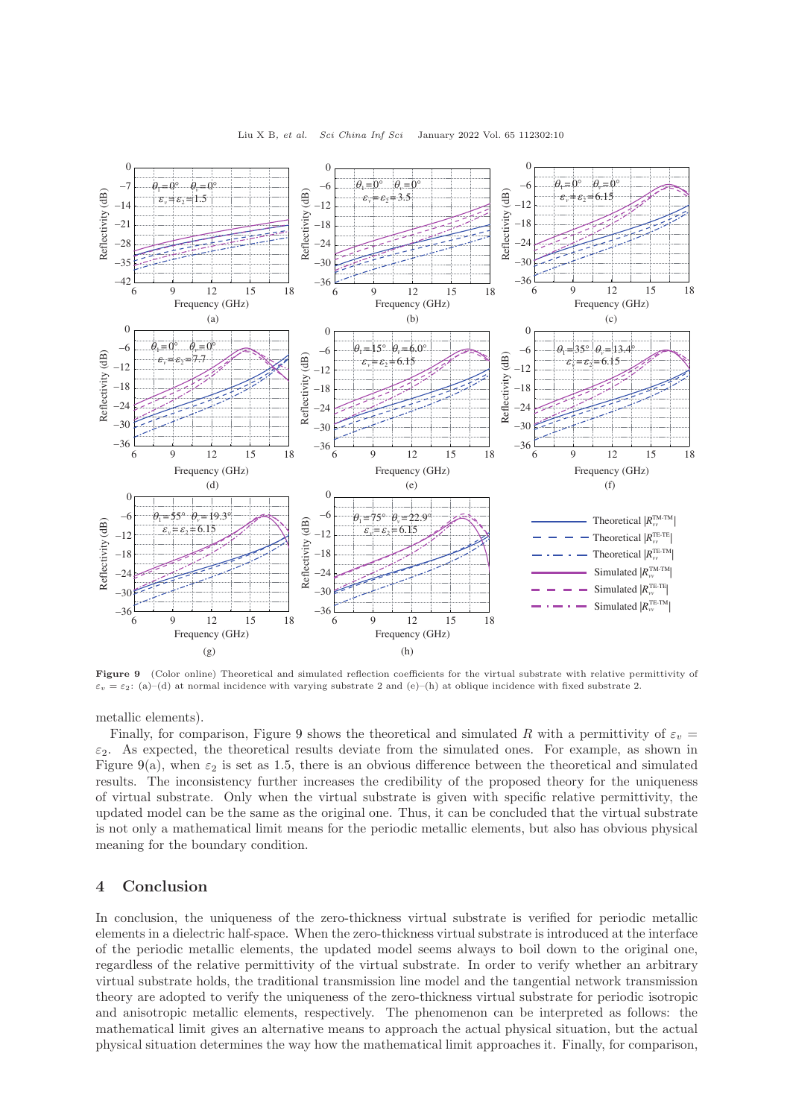<span id="page-9-0"></span>

Figure 9 (Color online) Theoretical and simulated reflection coefficients for the virtual substrate with relative permittivity of  $\varepsilon_v = \varepsilon_2$ : (a)–(d) at normal incidence with varying substrate 2 and (e)–(h) at oblique incidence with fixed substrate 2.

metallic elements).

Finally, for comparison, Figure [9](#page-9-0) shows the theoretical and simulated R with a permittivity of  $\varepsilon_v$  =  $\varepsilon_2$ . As expected, the theoretical results deviate from the simulated ones. For example, as shown in Figure [9\(](#page-9-0)a), when  $\varepsilon_2$  is set as 1.5, there is an obvious difference between the theoretical and simulated results. The inconsistency further increases the credibility of the proposed theory for the uniqueness of virtual substrate. Only when the virtual substrate is given with specific relative permittivity, the updated model can be the same as the original one. Thus, it can be concluded that the virtual substrate is not only a mathematical limit means for the periodic metallic elements, but also has obvious physical meaning for the boundary condition.

## 4 Conclusion

In conclusion, the uniqueness of the zero-thickness virtual substrate is verified for periodic metallic elements in a dielectric half-space. When the zero-thickness virtual substrate is introduced at the interface of the periodic metallic elements, the updated model seems always to boil down to the original one, regardless of the relative permittivity of the virtual substrate. In order to verify whether an arbitrary virtual substrate holds, the traditional transmission line model and the tangential network transmission theory are adopted to verify the uniqueness of the zero-thickness virtual substrate for periodic isotropic and anisotropic metallic elements, respectively. The phenomenon can be interpreted as follows: the mathematical limit gives an alternative means to approach the actual physical situation, but the actual physical situation determines the way how the mathematical limit approaches it. Finally, for comparison,